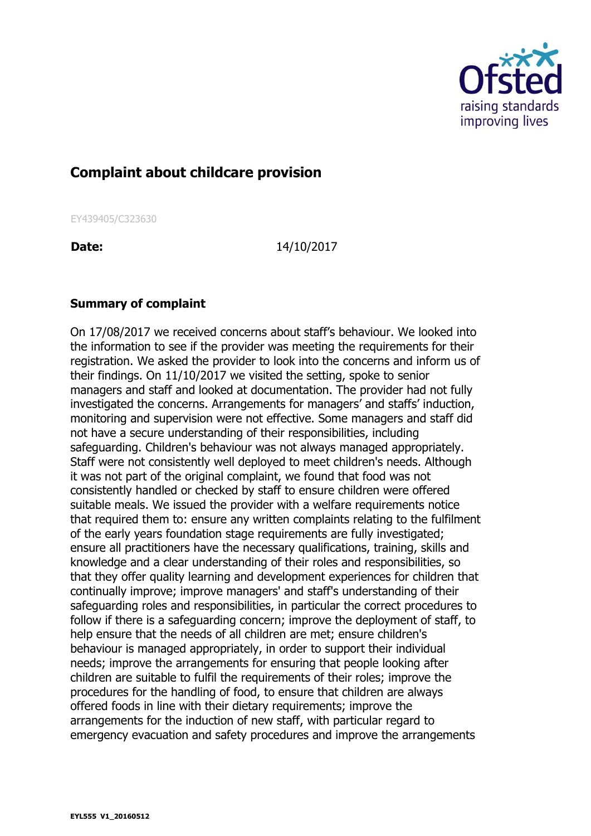

## **Complaint about childcare provision**

EY439405/C323630

**Date:** 14/10/2017

## **Summary of complaint**

On 17/08/2017 we received concerns about staff's behaviour. We looked into the information to see if the provider was meeting the requirements for their registration. We asked the provider to look into the concerns and inform us of their findings. On 11/10/2017 we visited the setting, spoke to senior managers and staff and looked at documentation. The provider had not fully investigated the concerns. Arrangements for managers' and staffs' induction, monitoring and supervision were not effective. Some managers and staff did not have a secure understanding of their responsibilities, including safeguarding. Children's behaviour was not always managed appropriately. Staff were not consistently well deployed to meet children's needs. Although it was not part of the original complaint, we found that food was not consistently handled or checked by staff to ensure children were offered suitable meals. We issued the provider with a welfare requirements notice that required them to: ensure any written complaints relating to the fulfilment of the early years foundation stage requirements are fully investigated; ensure all practitioners have the necessary qualifications, training, skills and knowledge and a clear understanding of their roles and responsibilities, so that they offer quality learning and development experiences for children that continually improve; improve managers' and staff's understanding of their safeguarding roles and responsibilities, in particular the correct procedures to follow if there is a safeguarding concern; improve the deployment of staff, to help ensure that the needs of all children are met; ensure children's behaviour is managed appropriately, in order to support their individual needs; improve the arrangements for ensuring that people looking after children are suitable to fulfil the requirements of their roles; improve the procedures for the handling of food, to ensure that children are always offered foods in line with their dietary requirements; improve the arrangements for the induction of new staff, with particular regard to emergency evacuation and safety procedures and improve the arrangements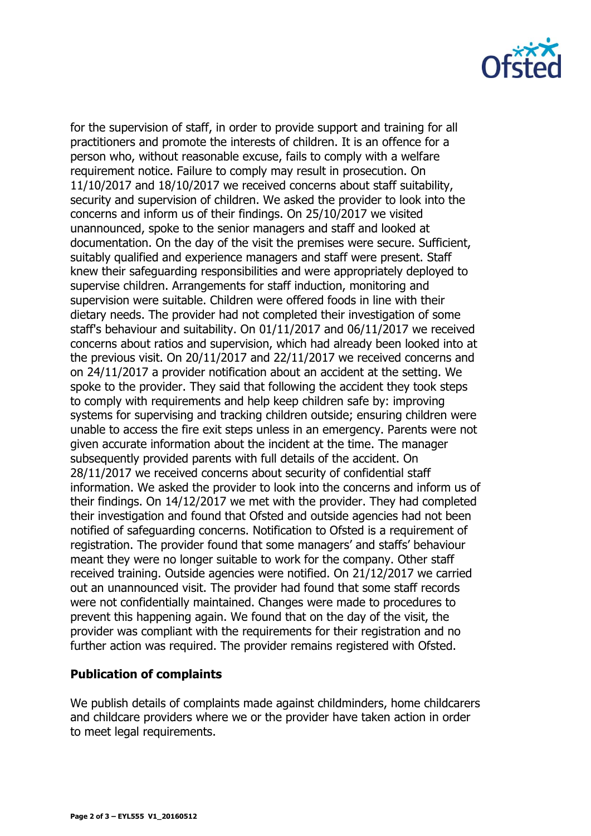

for the supervision of staff, in order to provide support and training for all practitioners and promote the interests of children. It is an offence for a person who, without reasonable excuse, fails to comply with a welfare requirement notice. Failure to comply may result in prosecution. On 11/10/2017 and 18/10/2017 we received concerns about staff suitability, security and supervision of children. We asked the provider to look into the concerns and inform us of their findings. On 25/10/2017 we visited unannounced, spoke to the senior managers and staff and looked at documentation. On the day of the visit the premises were secure. Sufficient, suitably qualified and experience managers and staff were present. Staff knew their safeguarding responsibilities and were appropriately deployed to supervise children. Arrangements for staff induction, monitoring and supervision were suitable. Children were offered foods in line with their dietary needs. The provider had not completed their investigation of some staff's behaviour and suitability. On 01/11/2017 and 06/11/2017 we received concerns about ratios and supervision, which had already been looked into at the previous visit. On 20/11/2017 and 22/11/2017 we received concerns and on 24/11/2017 a provider notification about an accident at the setting. We spoke to the provider. They said that following the accident they took steps to comply with requirements and help keep children safe by: improving systems for supervising and tracking children outside; ensuring children were unable to access the fire exit steps unless in an emergency. Parents were not given accurate information about the incident at the time. The manager subsequently provided parents with full details of the accident. On 28/11/2017 we received concerns about security of confidential staff information. We asked the provider to look into the concerns and inform us of their findings. On 14/12/2017 we met with the provider. They had completed their investigation and found that Ofsted and outside agencies had not been notified of safeguarding concerns. Notification to Ofsted is a requirement of registration. The provider found that some managers' and staffs' behaviour meant they were no longer suitable to work for the company. Other staff received training. Outside agencies were notified. On 21/12/2017 we carried out an unannounced visit. The provider had found that some staff records were not confidentially maintained. Changes were made to procedures to prevent this happening again. We found that on the day of the visit, the provider was compliant with the requirements for their registration and no further action was required. The provider remains registered with Ofsted.

## **Publication of complaints**

We publish details of complaints made against childminders, home childcarers and childcare providers where we or the provider have taken action in order to meet legal requirements.